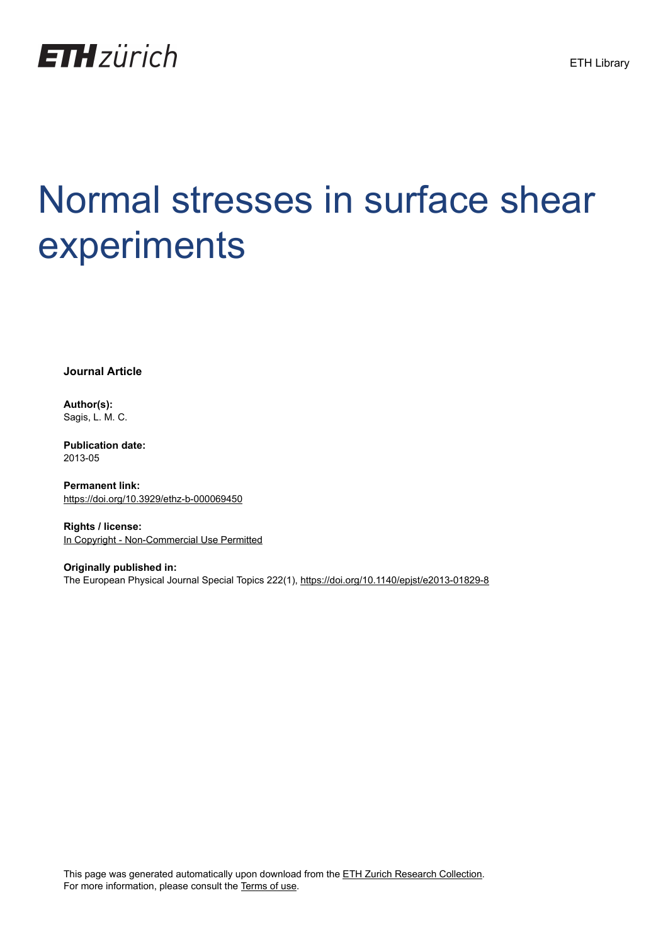

# Normal stresses in surface shear experiments

**Journal Article**

**Author(s):** Sagis, L. M. C.

**Publication date:** 2013-05

**Permanent link:** <https://doi.org/10.3929/ethz-b-000069450>

**Rights / license:** [In Copyright - Non-Commercial Use Permitted](http://rightsstatements.org/page/InC-NC/1.0/)

**Originally published in:** The European Physical Journal Special Topics 222(1), <https://doi.org/10.1140/epjst/e2013-01829-8>

This page was generated automatically upon download from the [ETH Zurich Research Collection.](https://www.research-collection.ethz.ch) For more information, please consult the [Terms of use](https://www.research-collection.ethz.ch/terms-of-use).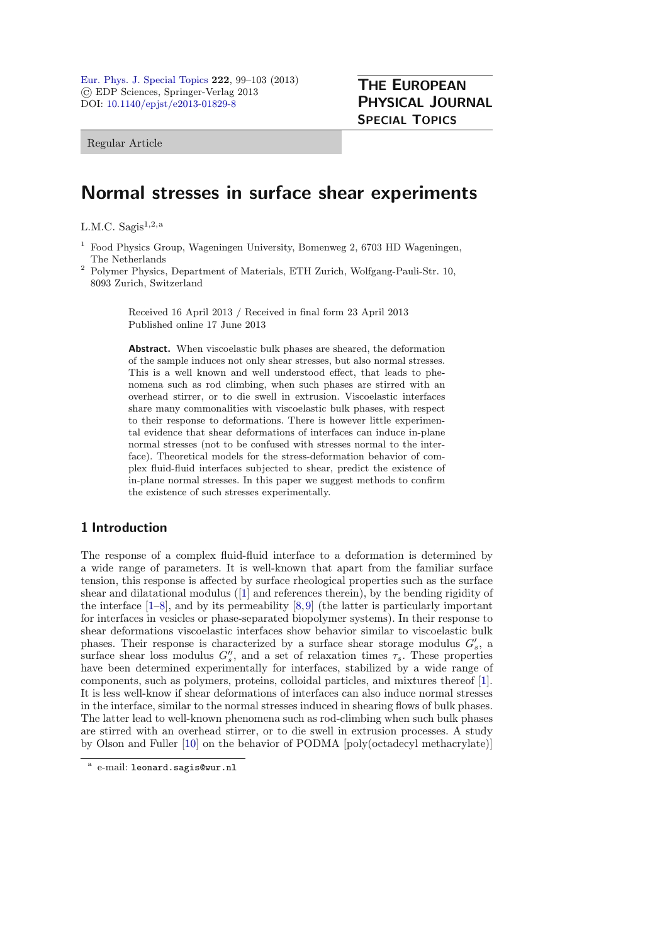Regular Article

# Normal stresses in surface shear experiments

L.M.C. Sagis $^{1,2,a}$ 

- <sup>1</sup> Food Physics Group, Wageningen University, Bomenweg 2, 6703 HD Wageningen, The Netherlands
- <sup>2</sup> Polymer Physics, Department of Materials, ETH Zurich, Wolfgang-Pauli-Str. 10, 8093 Zurich, Switzerland

Received 16 April 2013 / Received in final form 23 April 2013 Published online 17 June 2013

Abstract. When viscoelastic bulk phases are sheared, the deformation of the sample induces not only shear stresses, but also normal stresses. This is a well known and well understood effect, that leads to phenomena such as rod climbing, when such phases are stirred with an overhead stirrer, or to die swell in extrusion. Viscoelastic interfaces share many commonalities with viscoelastic bulk phases, with respect to their response to deformations. There is however little experimental evidence that shear deformations of interfaces can induce in-plane normal stresses (not to be confused with stresses normal to the interface). Theoretical models for the stress-deformation behavior of complex fluid-fluid interfaces subjected to shear, predict the existence of in-plane normal stresses. In this paper we suggest methods to confirm the existence of such stresses experimentally.

# 1 Introduction

The response of a complex fluid-fluid interface to a deformation is determined by a wide range of parameters. It is well-known that apart from the familiar surface tension, this response is affected by surface rheological properties such as the surface shear and dilatational modulus ([\[1](#page-5-0)] and references therein), by the bending rigidity of the interface  $[1-8]$  $[1-8]$ , and by its permeability  $[8,9]$  $[8,9]$  (the latter is particularly important for interfaces in vesicles or phase-separated biopolymer systems). In their response to shear deformations viscoelastic interfaces show behavior similar to viscoelastic bulk phases. Their response is characterized by a surface shear storage modulus  $G'_{s}$ , a surface shear loss modulus  $G''_s$ , and a set of relaxation times  $\tau_s$ . These properties have been determined experimentally for interfaces, stabilized by a wide range of components, such as polymers, proteins, colloidal particles, and mixtures thereof [\[1](#page-5-0)]. It is less well-know if shear deformations of interfaces can also induce normal stresses in the interface, similar to the normal stresses induced in shearing flows of bulk phases. The latter lead to well-known phenomena such as rod-climbing when such bulk phases are stirred with an overhead stirrer, or to die swell in extrusion processes. A study by Olson and Fuller [\[10\]](#page-5-3) on the behavior of PODMA [poly(octadecyl methacrylate)]

e-mail: leonard.sagis@wur.nl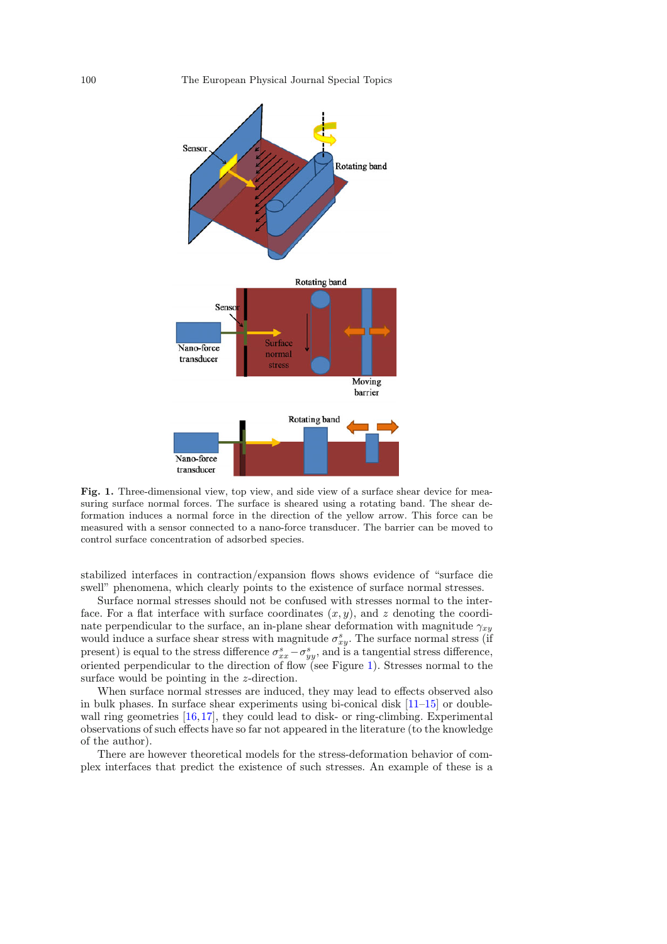<span id="page-2-0"></span>

Fig. 1. Three-dimensional view, top view, and side view of a surface shear device for measuring surface normal forces. The surface is sheared using a rotating band. The shear deformation induces a normal force in the direction of the yellow arrow. This force can be measured with a sensor connected to a nano-force transducer. The barrier can be moved to control surface concentration of adsorbed species.

stabilized interfaces in contraction/expansion flows shows evidence of "surface die swell" phenomena, which clearly points to the existence of surface normal stresses.

Surface normal stresses should not be confused with stresses normal to the interface. For a flat interface with surface coordinates  $(x, y)$ , and z denoting the coordinate perpendicular to the surface, an in-plane shear deformation with magnitude  $\gamma_{xy}$ would induce a surface shear stress with magnitude  $\sigma_{xy}^s$ . The surface normal stress (if present) is equal to the stress difference  $\sigma_{xx}^s - \sigma_{yy}^s$ , and is a tangential stress difference, oriented perpendicular to the direction of flow (see Figure [1\)](#page-2-0). Stresses normal to the surface would be pointing in the z-direction.

When surface normal stresses are induced, they may lead to effects observed also in bulk phases. In surface shear experiments using bi-conical disk [\[11](#page-5-4)[–15\]](#page-5-5) or double-wall ring geometries [\[16](#page-5-6)[,17](#page-5-7)], they could lead to disk- or ring-climbing. Experimental observations of such effects have so far not appeared in the literature (to the knowledge of the author).

There are however theoretical models for the stress-deformation behavior of complex interfaces that predict the existence of such stresses. An example of these is a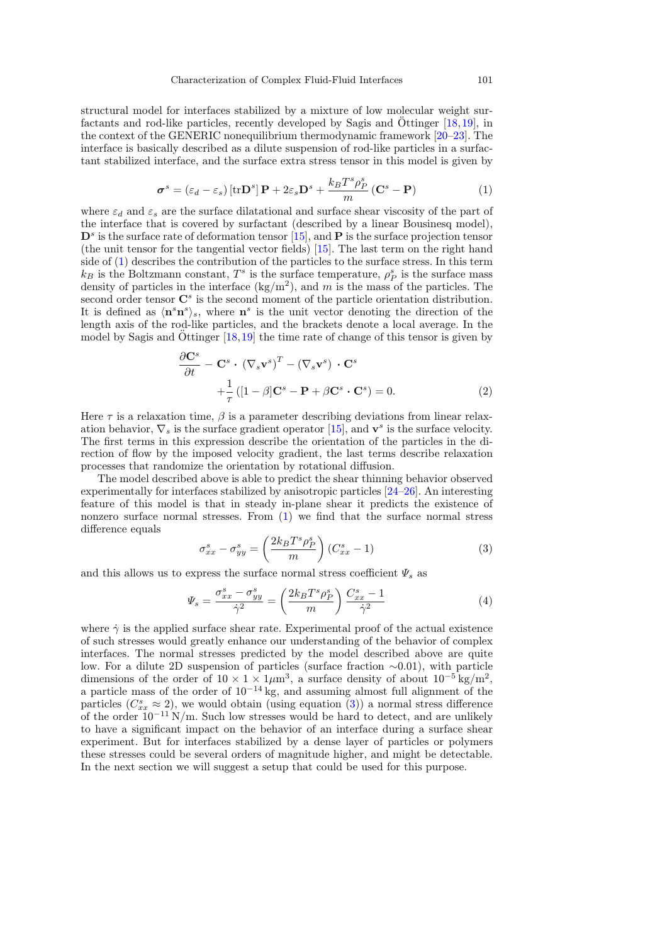structural model for interfaces stabilized by a mixture of low molecular weight surfactants and rod-like particles, recently developed by Sagis and  $\ddot{\text{O}}$ ttinger [[18](#page-5-8)[,19](#page-5-9)], in the context of the GENERIC nonequilibrium thermodynamic framework [\[20](#page-5-10)[–23](#page-5-11)]. The interface is basically described as a dilute suspension of rod-like particles in a surfactant stabilized interface, and the surface extra stress tensor in this model is given by

$$
\boldsymbol{\sigma}^s = (\varepsilon_d - \varepsilon_s) [\text{tr} \mathbf{D}^s] \mathbf{P} + 2\varepsilon_s \mathbf{D}^s + \frac{k_B T^s \rho_P^s}{m} (\mathbf{C}^s - \mathbf{P})
$$
(1)

<span id="page-3-0"></span>where  $\varepsilon_d$  and  $\varepsilon_s$  are the surface dilatational and surface shear viscosity of the part of the interface that is covered by surfactant (described by a linear Bousinesq model),  $\mathbf{D}^s$  is the surface rate of deformation tensor [\[15\]](#page-5-5), and **P** is the surface projection tensor (the unit tensor for the tangential vector fields) [\[15\]](#page-5-5). The last term on the right hand side of [\(1\)](#page-3-0) describes the contribution of the particles to the surface stress. In this term  $k_B$  is the Boltzmann constant,  $T^s$  is the surface temperature,  $\rho_P^s$  is the surface mass density of particles in the interface  $\frac{\text{kg}}{m^2}$ , and m is the mass of the particles. The second order tensor  $\mathbb{C}^s$  is the second moment of the particle orientation distribution. It is defined as  $\langle \mathbf{n}^s \mathbf{n}^s \rangle_s$ , where  $\mathbf{n}^s$  is the unit vector denoting the direction of the length axis of the rod-like particles, and the brackets denote a local average. In the model by Sagis and Ottinger  $[18,19]$  $[18,19]$  $[18,19]$  $[18,19]$  the time rate of change of this tensor is given by

$$
\frac{\partial \mathbf{C}^s}{\partial t} - \mathbf{C}^s \cdot (\nabla_s \mathbf{v}^s)^T - (\nabla_s \mathbf{v}^s) \cdot \mathbf{C}^s
$$
  
 
$$
+ \frac{1}{\tau} ([1 - \beta] \mathbf{C}^s - \mathbf{P} + \beta \mathbf{C}^s \cdot \mathbf{C}^s) = 0.
$$
 (2)

Here  $\tau$  is a relaxation time,  $\beta$  is a parameter describing deviations from linear relaxation behavior,  $\nabla_s$  is the surface gradient operator [\[15\]](#page-5-5), and  $\mathbf{v}^s$  is the surface velocity. The first terms in this expression describe the orientation of the particles in the direction of flow by the imposed velocity gradient, the last terms describe relaxation processes that randomize the orientation by rotational diffusion.

The model described above is able to predict the shear thinning behavior observed experimentally for interfaces stabilized by anisotropic particles [\[24](#page-5-12)[–26](#page-5-13)]. An interesting feature of this model is that in steady in-plane shear it predicts the existence of nonzero surface normal stresses. From [\(1\)](#page-3-0) we find that the surface normal stress difference equals

$$
\sigma_{xx}^s - \sigma_{yy}^s = \left(\frac{2k_B T^s \rho_P^s}{m}\right) (C_{xx}^s - 1)
$$
\n(3)

<span id="page-3-1"></span>and this allows us to express the surface normal stress coefficient  $\Psi_s$  as

$$
\Psi_s = \frac{\sigma_{xx}^s - \sigma_{yy}^s}{\dot{\gamma}^2} = \left(\frac{2k_B T^s \rho_P^s}{m}\right) \frac{C_{xx}^s - 1}{\dot{\gamma}^2} \tag{4}
$$

where  $\dot{\gamma}$  is the applied surface shear rate. Experimental proof of the actual existence of such stresses would greatly enhance our understanding of the behavior of complex interfaces. The normal stresses predicted by the model described above are quite low. For a dilute 2D suspension of particles (surface fraction ∼0.01), with particle dimensions of the order of  $10 \times 1 \times 1 \mu m^3$ , a surface density of about  $10^{-5} \text{ kg/m}^2$ , a particle mass of the order of  $10^{-14} \text{ kg}$ , and assuming almost full alignment of the particles  $(C_{xx}^s \approx 2)$ , we would obtain (using equation [\(3\)](#page-3-1)) a normal stress difference of the order  $10^{-11}$  N/m. Such low stresses would be hard to detect, and are unlikely to have a significant impact on the behavior of an interface during a surface shear experiment. But for interfaces stabilized by a dense layer of particles or polymers these stresses could be several orders of magnitude higher, and might be detectable. In the next section we will suggest a setup that could be used for this purpose.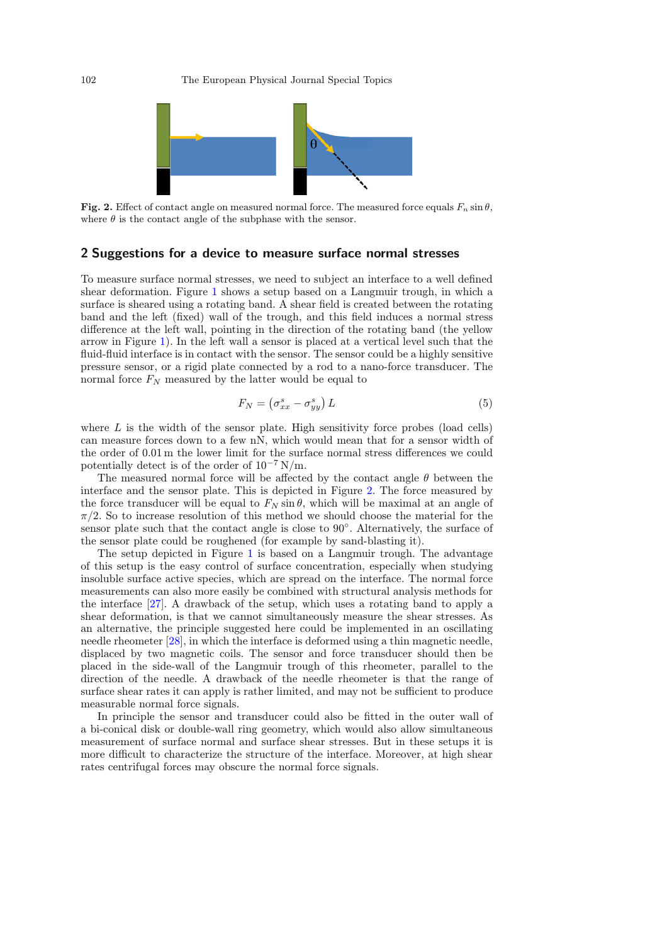<span id="page-4-0"></span>

Fig. 2. Effect of contact angle on measured normal force. The measured force equals  $F_n \sin \theta$ , where  $\theta$  is the contact angle of the subphase with the sensor.

#### 2 Suggestions for a device to measure surface normal stresses

To measure surface normal stresses, we need to subject an interface to a well defined shear deformation. Figure [1](#page-2-0) shows a setup based on a Langmuir trough, in which a surface is sheared using a rotating band. A shear field is created between the rotating band and the left (fixed) wall of the trough, and this field induces a normal stress difference at the left wall, pointing in the direction of the rotating band (the yellow arrow in Figure [1\)](#page-2-0). In the left wall a sensor is placed at a vertical level such that the fluid-fluid interface is in contact with the sensor. The sensor could be a highly sensitive pressure sensor, or a rigid plate connected by a rod to a nano-force transducer. The normal force  $F_N$  measured by the latter would be equal to

$$
F_N = \left(\sigma_{xx}^s - \sigma_{yy}^s\right)L\tag{5}
$$

where  $L$  is the width of the sensor plate. High sensitivity force probes (load cells) can measure forces down to a few nN, which would mean that for a sensor width of the order of 0.01 m the lower limit for the surface normal stress differences we could potentially detect is of the order of  $10^{-7}$  N/m.

The measured normal force will be affected by the contact angle  $\theta$  between the interface and the sensor plate. This is depicted in Figure [2.](#page-4-0) The force measured by the force transducer will be equal to  $F_N \sin \theta$ , which will be maximal at an angle of  $\pi/2$ . So to increase resolution of this method we should choose the material for the sensor plate such that the contact angle is close to  $90°$ . Alternatively, the surface of the sensor plate could be roughened (for example by sand-blasting it).

The setup depicted in Figure [1](#page-2-0) is based on a Langmuir trough. The advantage of this setup is the easy control of surface concentration, especially when studying insoluble surface active species, which are spread on the interface. The normal force measurements can also more easily be combined with structural analysis methods for the interface [\[27\]](#page-5-14). A drawback of the setup, which uses a rotating band to apply a shear deformation, is that we cannot simultaneously measure the shear stresses. As an alternative, the principle suggested here could be implemented in an oscillating needle rheometer [\[28\]](#page-5-15), in which the interface is deformed using a thin magnetic needle, displaced by two magnetic coils. The sensor and force transducer should then be placed in the side-wall of the Langmuir trough of this rheometer, parallel to the direction of the needle. A drawback of the needle rheometer is that the range of surface shear rates it can apply is rather limited, and may not be sufficient to produce measurable normal force signals.

In principle the sensor and transducer could also be fitted in the outer wall of a bi-conical disk or double-wall ring geometry, which would also allow simultaneous measurement of surface normal and surface shear stresses. But in these setups it is more difficult to characterize the structure of the interface. Moreover, at high shear rates centrifugal forces may obscure the normal force signals.